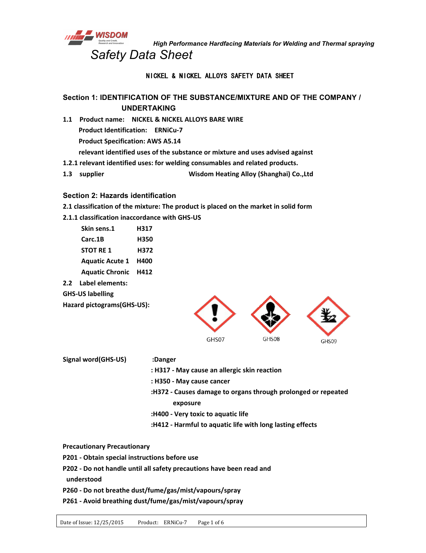

*High Performance Hardfacing Materials for Welding and Thermal spraying Safety Data Sheet*

# NICKEL & NICKEL ALLOYS SAFETY DATA SHEET

# **Section 1: IDENTIFICATION OF THE SUBSTANCE/MIXTURE AND OF THE COMPANY / UNDERTAKING**

- **1.1 Product name: NICKEL & NICKEL ALLOYS BARE WIRE Product Identification: ERNiCu-7 Product Specification: AWS A5.14 relevant identified uses of the substance or mixture and uses advised against 1.2.1 relevant identified uses: for welding consumables and related products.**
- **1.3 supplier Wisdom Heating Alloy (Shanghai) Co.,Ltd**

#### **Section 2: Hazards identification**

**2.1 classification of the mixture: The product is placed on the market in solid form**

### **2.1.1 classification inaccordance with GHS-US**

- **Skin sens.1 H317 Carc.1B H350 STOT RE 1 H372 Aquatic Acute 1 H400 Aquatic Chronic H412 2.2 Label elements:**
- **GHS-US labelling**

**Hazard pictograms(GHS-US):**



- **Signal word(GHS-US) :Danger**
- **: H317 - May cause an allergic skin reaction**
- **: H350 - May cause cancer**
- **:H372 - Causes damage to organs through prolonged or repeated exposure**
- **:H400 - Very toxic to aquatic life**
- **:H412 - Harmful to aquatic life with long lasting effects**

**Precautionary Precautionary**

- **P201 - Obtain special instructions before use**
- **P202 - Do not handle until all safety precautions have been read and**

**understood**

- **P260 - Do not breathe dust/fume/gas/mist/vapours/spray**
- **P261 - Avoid breathing dust/fume/gas/mist/vapours/spray**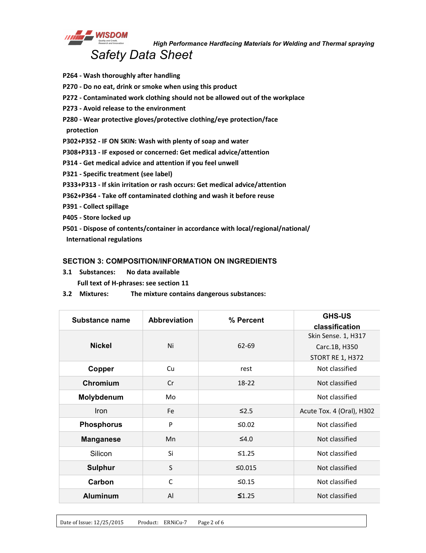

- **P264 - Wash thoroughly afterhandling**
- **P270 - Do no eat, drink or smoke when using this product**
- **P272 - Contaminated work clothing should not be allowed out of the workplace**
- **P273 - Avoid release to the environment**
- **P280 - Wear protective gloves/protective clothing/eye protection/face**
- **protection**
- **P302+P352 - IF ON SKIN: Wash with plenty of soap and water**
- **P308+P313 - IF exposed or concerned: Get medical advice/attention**
- **P314 - Get medical advice and attention if you feel unwell**
- **P321 - Specific treatment (see label)**
- **P333+P313 - If skin irritation or rash occurs: Get medical advice/attention**
- **P362+P364 - Take off contaminated clothing and wash it before reuse**
- **P391 - Collect spillage**
- **P405 - Store locked up**
- **P501 - Dispose of contents/container in accordance with local/regional/national/ International regulations**

#### **SECTION 3: COMPOSITION/INFORMATION ON INGREDIENTS**

- **3.1 Substances: No data available Full text of H-phrases: see section 11**
- **3.2 Mixtures: The mixture contains dangerous substances:**

| <b>Substance name</b> | <b>Abbreviation</b> | % Percent   | <b>GHS-US</b>             |
|-----------------------|---------------------|-------------|---------------------------|
|                       |                     |             | classification            |
|                       |                     |             | Skin Sense. 1, H317       |
| <b>Nickel</b>         | Ni                  | 62-69       | Carc.1B, H350             |
|                       |                     |             | STORT RE 1, H372          |
| Copper                | Cu                  | rest        | Not classified            |
| Chromium              | Cr                  | $18 - 22$   | Not classified            |
| Molybdenum            | Mo                  |             | Not classified            |
| Iron                  | Fe                  | $\leq$ 2.5  | Acute Tox. 4 (Oral), H302 |
| <b>Phosphorus</b>     | P                   | $≤0.02$     | Not classified            |
| <b>Manganese</b>      | Mn                  | $\leq 4.0$  | Not classified            |
| Silicon               | Si                  | $\leq 1.25$ | Not classified            |
| <b>Sulphur</b>        | S                   | ≤0.015      | Not classified            |
| Carbon                | $\mathsf C$         | $≤0.15$     | Not classified            |
| <b>Aluminum</b>       | Al                  | $\leq 1.25$ | Not classified            |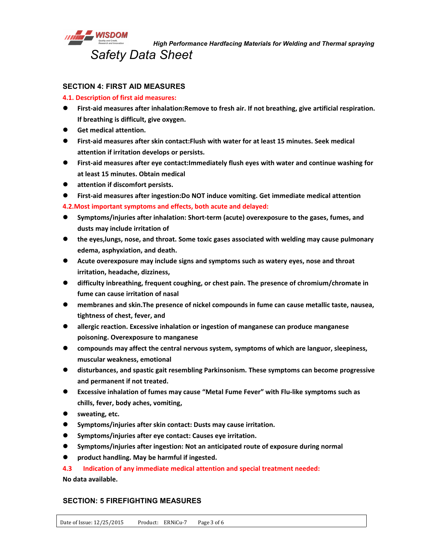

*High Performance Hardfacing Materials for Welding and Thermal spraying*

# **SECTION 4: FIRST AID MEASURES**

#### **4.1. Description of first aid measures:**

- **First-aid measures after inhalation:Remove to fresh air. If not breathing, give artificial respiration. If breathing is difficult, give oxygen.**
- **Get medical attention.**
- **First-aid measures after skin contact:Flush with water for at least 15 minutes. Seek medical attention if irritation develops or persists.**
- **First-aid measures after eye contact:Immediately flush eyes with water and continue washing for at least 15 minutes. Obtain medical**
- **attention if discomfort persists.**
- **First-aid measures after ingestion:Do NOT induce vomiting. Get immediate medical attention**

**4.2.Most important symptoms and effects, both acute and delayed:**

- **Symptoms/injuries after inhalation: Short-term (acute) overexposure to the gases, fumes, and dusts may include irritation of**
- **the eyes,lungs, nose, and throat. Some toxic gases associated with welding may cause pulmonary edema, asphyxiation, and death.**
- **Acute overexposure may include signs and symptoms such as watery eyes, nose and throat irritation, headache, dizziness,**
- **difficulty inbreathing, frequent coughing, or chest pain. The presence of chromium/chromate in fume can cause irritation of nasal**
- **membranes and skin.The presence of nickel compounds in fume can cause metallic taste, nausea, tightness of chest, fever, and**
- **allergic reaction. Excessive inhalation or ingestion of manganese can produce manganese poisoning. Overexposure to manganese**
- **compounds may affect the central nervous system, symptoms of which are languor,sleepiness, muscular weakness, emotional**
- **disturbances, and spastic gait resembling Parkinsonism. These symptoms can become progressive and permanent if not treated.**
- **Excessive inhalation of fumes may cause "Metal Fume Fever" with Flu-like symptoms such as chills, fever, body aches, vomiting,**
- **sweating, etc.**
- **Symptoms/injuries after skin contact: Dusts may cause irritation.**
- **Symptoms/injuries after eye contact: Causes eye irritation.**
- **Symptoms/injuries after ingestion: Not an anticipated route of exposure during normal**
- **product handling. May be harmful if ingested.**

**4.3 Indication of any immediate medical attention and special treatment needed:**

**No data available.**

# **SECTION: 5 FIREFIGHTING MEASURES**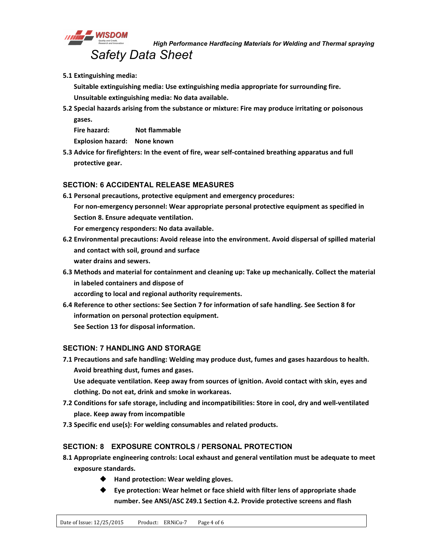

**5.1 Extinguishing media:**

**Suitable extinguishing media: Use extinguishing media appropriate for surrounding fire. Unsuitable extinguishing media: No data available.**

**5.2 Special hazards arising from the substance or mixture: Fire may produce irritating or poisonous gases.**

**Fire hazard: Not flammable Explosion hazard: None known**

**5.3 Advice for firefighters: In the event of fire, wear self-contained breathing apparatus and full protective gear.**

# **SECTION: 6 ACCIDENTAL RELEASE MEASURES**

- **6.1 Personal precautions, protective equipment and emergency procedures: For non-emergency personnel: Wear appropriate personal protective equipment as specified in Section 8. Ensure adequate ventilation. For emergency responders: No data available.**
- **6.2 Environmental precautions: Avoid release into the environment. Avoid dispersal of spilled material and contact with soil, ground and surface water drains and sewers.**
- **6.3 Methods and material for containment and cleaning up: Take up mechanically. Collect the material in labeled containers and dispose of**
	- **according to local and regional authority requirements.**
- **6.4 Reference to other sections: See Section 7 for information of safe handling. See Section 8 for information on personal protection equipment. See Section 13 for disposal information.**

# **SECTION: 7 HANDLING AND STORAGE**

**7.1 Precautions and safe handling: Welding may produce dust, fumes and gases hazardous to health. Avoid breathing dust, fumes and gases.**

**Use adequate ventilation. Keep away from sources of ignition. Avoid contact with skin, eyes and clothing. Do not eat, drink and smoke in workareas.**

- **7.2 Conditions for safe storage, including and incompatibilities: Store in cool, dry and well-ventilated place. Keep away from incompatible**
- **7.3 Specific end use(s): For welding consumables and related products.**

# **SECTION: 8 EXPOSURE CONTROLS / PERSONAL PROTECTION**

- **8.1 Appropriate engineering controls: Local exhaust and general ventilation must be adequate to meet exposure standards.**
	- **Hand protection: Wear welding gloves.**
	- **Eye protection: Wear helmet or face shield with filter lens of appropriate shade number. See ANSI/ASC Z49.1 Section 4.2. Provide protective screens and flash**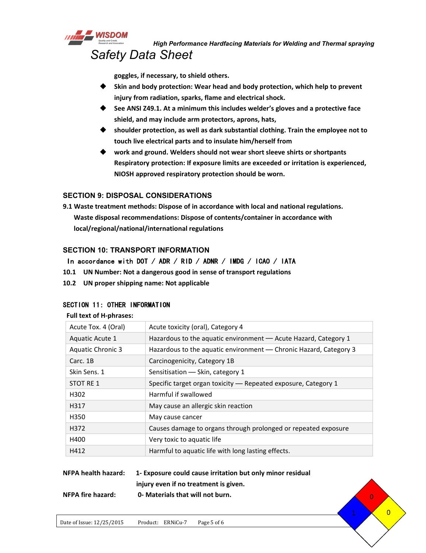

*High Performance Hardfacing Materials for Welding and Thermal spraying Safety Data Sheet*

**goggles, if necessary, to shield others.**

- **Skin and body protection: Wear head and body protection, which help to prevent injury from radiation, sparks, flame and electrical shock.**
- **See ANSI Z49.1. At aminimum this includes welder's gloves and a protective face shield, and may include arm protectors, aprons, hats,**
- **shoulder protection, as well as dark substantial clothing. Train the employee not to touch live electrical parts and to insulate him/herself from**
- **work and ground. Welders should not wear short sleeve shirts or shortpants Respiratory protection: If exposure limits are exceeded or irritation is experienced, NIOSH approved respiratory protection should be worn.**

### **SECTION 9: DISPOSAL CONSIDERATIONS**

**9.1 Waste treatment methods: Dispose of in accordance with local and national regulations. Waste disposal recommendations: Dispose of contents/container in accordance with local/regional/national/international regulations**

### **SECTION 10: TRANSPORT INFORMATION**

# In accordance with DOT / ADR / RID / ADNR / IMDG / ICAO / IATA

- **10.1 UN Number: Not a dangerous good in sense of transport regulations**
- **10.2 UN proper shipping name: Not applicable**

### SECTION 11: OTHER INFORMATION

#### **Full text of H-phrases:**

| Acute Tox. 4 (Oral)<br>Acute toxicity (oral), Category 4<br>Hazardous to the aquatic environment - Acute Hazard, Category 1<br>Aquatic Acute 1<br>Hazardous to the aquatic environment - Chronic Hazard, Category 3<br><b>Aquatic Chronic 3</b><br>Carcinogenicity, Category 1B<br>Carc. 1B<br>Skin Sens. 1<br>Sensitisation - Skin, category 1<br>STOT RE 1<br>Specific target organ toxicity - Repeated exposure, Category 1<br>Harmful if swallowed<br>H302<br>H317<br>May cause an allergic skin reaction<br>H350<br>May cause cancer<br>H372<br>Causes damage to organs through prolonged or repeated exposure<br>H400<br>Very toxic to aquatic life<br>Harmful to aquatic life with long lasting effects.<br>H412 |  |
|-------------------------------------------------------------------------------------------------------------------------------------------------------------------------------------------------------------------------------------------------------------------------------------------------------------------------------------------------------------------------------------------------------------------------------------------------------------------------------------------------------------------------------------------------------------------------------------------------------------------------------------------------------------------------------------------------------------------------|--|
|                                                                                                                                                                                                                                                                                                                                                                                                                                                                                                                                                                                                                                                                                                                         |  |
|                                                                                                                                                                                                                                                                                                                                                                                                                                                                                                                                                                                                                                                                                                                         |  |
|                                                                                                                                                                                                                                                                                                                                                                                                                                                                                                                                                                                                                                                                                                                         |  |
|                                                                                                                                                                                                                                                                                                                                                                                                                                                                                                                                                                                                                                                                                                                         |  |
|                                                                                                                                                                                                                                                                                                                                                                                                                                                                                                                                                                                                                                                                                                                         |  |
|                                                                                                                                                                                                                                                                                                                                                                                                                                                                                                                                                                                                                                                                                                                         |  |
|                                                                                                                                                                                                                                                                                                                                                                                                                                                                                                                                                                                                                                                                                                                         |  |
|                                                                                                                                                                                                                                                                                                                                                                                                                                                                                                                                                                                                                                                                                                                         |  |
|                                                                                                                                                                                                                                                                                                                                                                                                                                                                                                                                                                                                                                                                                                                         |  |
|                                                                                                                                                                                                                                                                                                                                                                                                                                                                                                                                                                                                                                                                                                                         |  |
|                                                                                                                                                                                                                                                                                                                                                                                                                                                                                                                                                                                                                                                                                                                         |  |
|                                                                                                                                                                                                                                                                                                                                                                                                                                                                                                                                                                                                                                                                                                                         |  |

 $\overline{0}$ 

| <b>NFPA health hazard:</b> | 1- Exposure could cause irritation but only minor residual |  |
|----------------------------|------------------------------------------------------------|--|
|                            | injury even if no treatment is given.                      |  |
| <b>NFPA fire hazard:</b>   | 0- Materials that will not burn.                           |  |